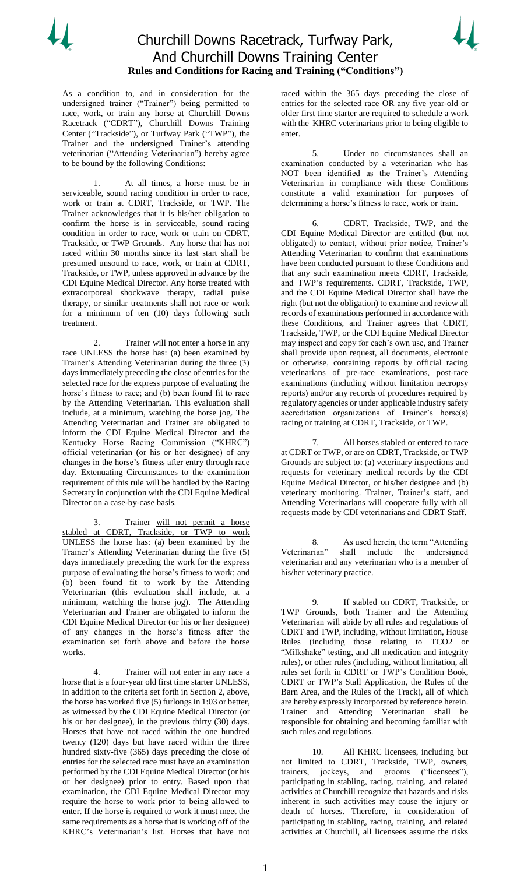



As a condition to, and in consideration for the undersigned trainer ("Trainer") being permitted to race, work, or train any horse at Churchill Downs Racetrack ("CDRT"), Churchill Downs Training Center ("Trackside"), or Turfway Park ("TWP"), the Trainer and the undersigned Trainer's attending veterinarian ("Attending Veterinarian") hereby agree to be bound by the following Conditions:

At all times, a horse must be in serviceable, sound racing condition in order to race, work or train at CDRT, Trackside, or TWP. The Trainer acknowledges that it is his/her obligation to confirm the horse is in serviceable, sound racing condition in order to race, work or train on CDRT, Trackside, or TWP Grounds. Any horse that has not raced within 30 months since its last start shall be presumed unsound to race, work, or train at CDRT, Trackside, or TWP, unless approved in advance by the CDI Equine Medical Director. Any horse treated with extracorporeal shockwave therapy, radial pulse therapy, or similar treatments shall not race or work for a minimum of ten (10) days following such treatment.

Trainer will not enter a horse in any race UNLESS the horse has: (a) been examined by Trainer's Attending Veterinarian during the three (3) days immediately preceding the close of entries for the selected race for the express purpose of evaluating the horse's fitness to race; and (b) been found fit to race by the Attending Veterinarian. This evaluation shall include, at a minimum, watching the horse jog. The Attending Veterinarian and Trainer are obligated to inform the CDI Equine Medical Director and the Kentucky Horse Racing Commission ("KHRC") official veterinarian (or his or her designee) of any changes in the horse's fitness after entry through race day. Extenuating Circumstances to the examination requirement of this rule will be handled by the Racing Secretary in conjunction with the CDI Equine Medical Director on a case-by-case basis.

3. Trainer will not permit a horse stabled at CDRT, Trackside, or TWP to work UNLESS the horse has: (a) been examined by the Trainer's Attending Veterinarian during the five (5) days immediately preceding the work for the express purpose of evaluating the horse's fitness to work; and (b) been found fit to work by the Attending Veterinarian (this evaluation shall include, at a minimum, watching the horse jog). The Attending Veterinarian and Trainer are obligated to inform the CDI Equine Medical Director (or his or her designee) of any changes in the horse's fitness after the examination set forth above and before the horse works.

4. Trainer will not enter in any race a horse that is a four-year old first time starter UNLESS, in addition to the criteria set forth in Section 2, above, the horse has worked five (5) furlongs in 1:03 or better, as witnessed by the CDI Equine Medical Director (or his or her designee), in the previous thirty (30) days. Horses that have not raced within the one hundred twenty (120) days but have raced within the three hundred sixty-five (365) days preceding the close of entries for the selected race must have an examination performed by the CDI Equine Medical Director (or his or her designee) prior to entry. Based upon that examination, the CDI Equine Medical Director may require the horse to work prior to being allowed to enter. If the horse is required to work it must meet the same requirements as a horse that is working off of the KHRC's Veterinarian's list. Horses that have not

raced within the 365 days preceding the close of entries for the selected race OR any five year-old or older first time starter are required to schedule a work with the KHRC veterinarians prior to being eligible to enter.

5. Under no circumstances shall an examination conducted by a veterinarian who has NOT been identified as the Trainer's Attending Veterinarian in compliance with these Conditions constitute a valid examination for purposes of determining a horse's fitness to race, work or train.

6. CDRT, Trackside, TWP, and the CDI Equine Medical Director are entitled (but not obligated) to contact, without prior notice, Trainer's Attending Veterinarian to confirm that examinations have been conducted pursuant to these Conditions and that any such examination meets CDRT, Trackside, and TWP's requirements. CDRT, Trackside, TWP, and the CDI Equine Medical Director shall have the right (but not the obligation) to examine and review all records of examinations performed in accordance with these Conditions, and Trainer agrees that CDRT, Trackside, TWP, or the CDI Equine Medical Director may inspect and copy for each's own use, and Trainer shall provide upon request, all documents, electronic or otherwise, containing reports by official racing veterinarians of pre-race examinations, post-race examinations (including without limitation necropsy reports) and/or any records of procedures required by regulatory agencies or under applicable industry safety accreditation organizations of Trainer's horse(s) racing or training at CDRT, Trackside, or TWP.

All horses stabled or entered to race at CDRT or TWP, or are on CDRT, Trackside, or TWP Grounds are subject to: (a) veterinary inspections and requests for veterinary medical records by the CDI Equine Medical Director, or his/her designee and (b) veterinary monitoring. Trainer, Trainer's staff, and Attending Veterinarians will cooperate fully with all requests made by CDI veterinarians and CDRT Staff.

8. As used herein, the term "Attending<br>Veterinarian" shall include the undersigned shall include the undersigned veterinarian and any veterinarian who is a member of his/her veterinary practice.

9. If stabled on CDRT, Trackside, or TWP Grounds, both Trainer and the Attending Veterinarian will abide by all rules and regulations of CDRT and TWP, including, without limitation, House Rules (including those relating to TCO2 or "Milkshake" testing, and all medication and integrity rules), or other rules (including, without limitation, all rules set forth in CDRT or TWP's Condition Book, CDRT or TWP's Stall Application, the Rules of the Barn Area, and the Rules of the Track), all of which are hereby expressly incorporated by reference herein. Trainer and Attending Veterinarian shall be responsible for obtaining and becoming familiar with such rules and regulations.

10. All KHRC licensees, including but not limited to CDRT, Trackside, TWP, owners, trainers, jockeys, and grooms ("licensees"), participating in stabling, racing, training, and related activities at Churchill recognize that hazards and risks inherent in such activities may cause the injury or death of horses. Therefore, in consideration of participating in stabling, racing, training, and related activities at Churchill, all licensees assume the risks